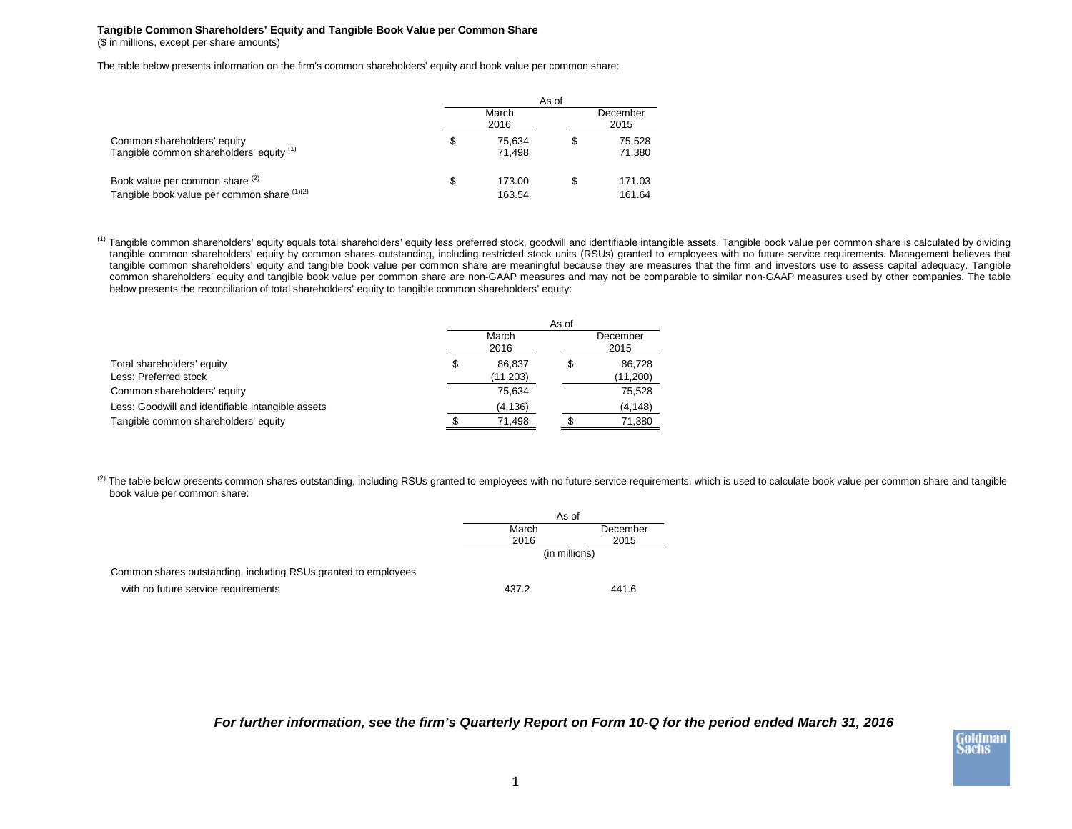## **Tangible Common Shareholders' Equity and Tangible Book Value per Common Share** (\$ in millions, except per share amounts)

The table below presents information on the firm's common shareholders' equity and book value per common share:

|                                                                                | As of |                  |     |                  |  |
|--------------------------------------------------------------------------------|-------|------------------|-----|------------------|--|
|                                                                                |       |                  |     | December<br>2015 |  |
| Common shareholders' equity<br>Tangible common shareholders' equity (1)        | S     | 75.634<br>71.498 | \$. | 75,528<br>71,380 |  |
| Book value per common share (2)<br>Tangible book value per common share (1)(2) | S     | 173.00<br>163.54 | \$. | 171.03<br>161.64 |  |

<sup>(1)</sup> Tangible common shareholders' equity equals total shareholders' equity less preferred stock, goodwill and identifiable intangible assets. Tangible book value per common share is calculated by dividing tangible common shareholders' equity by common shares outstanding, including restricted stock units (RSUs) granted to employees with no future service requirements. Management believes that tangible common shareholders' equity and tangible book value per common share are meaningful because they are measures that the firm and investors use to assess capital adequacy. Tangible common shareholders' equity and tangible book value per common share are non-GAAP measures and may not be comparable to similar non-GAAP measures used by other companies. The table below presents the reconciliation of total shareholders' equity to tangible common shareholders' equity:

|                                                     | As of         |                     |                  |                    |  |
|-----------------------------------------------------|---------------|---------------------|------------------|--------------------|--|
|                                                     | March<br>2016 |                     | December<br>2015 |                    |  |
| Total shareholders' equity<br>Less: Preferred stock | S             | 86.837<br>(11, 203) | \$.              | 86,728<br>(11,200) |  |
| Common shareholders' equity                         |               | 75.634              |                  | 75,528             |  |
| Less: Goodwill and identifiable intangible assets   |               | (4, 136)            |                  | (4, 148)           |  |
| Tangible common shareholders' equity                |               | 71.498              |                  | 71,380             |  |

<sup>(2)</sup> The table below presents common shares outstanding, including RSUs granted to employees with no future service requirements, which is used to calculate book value per common share and tangible book value per common share:

|                                                                | As of         |          |  |
|----------------------------------------------------------------|---------------|----------|--|
|                                                                | March         | December |  |
|                                                                | 2016          | 2015     |  |
|                                                                | (in millions) |          |  |
| Common shares outstanding, including RSUs granted to employees |               |          |  |
| with no future service requirements                            | 437.2         | 441.6    |  |

*For further information, see the firm's Quarterly Report on Form 10-Q for the period ended March 31, 2016*